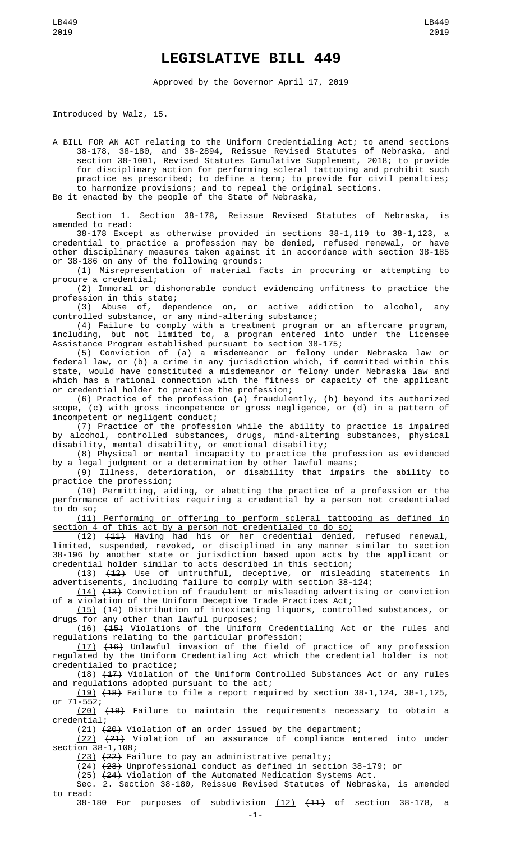## **LEGISLATIVE BILL 449**

Approved by the Governor April 17, 2019

Introduced by Walz, 15.

A BILL FOR AN ACT relating to the Uniform Credentialing Act; to amend sections 38-178, 38-180, and 38-2894, Reissue Revised Statutes of Nebraska, and section 38-1001, Revised Statutes Cumulative Supplement, 2018; to provide for disciplinary action for performing scleral tattooing and prohibit such practice as prescribed; to define a term; to provide for civil penalties; to harmonize provisions; and to repeal the original sections. Be it enacted by the people of the State of Nebraska,

Section 1. Section 38-178, Reissue Revised Statutes of Nebraska, is amended to read:

38-178 Except as otherwise provided in sections 38-1,119 to 38-1,123, a credential to practice a profession may be denied, refused renewal, or have other disciplinary measures taken against it in accordance with section 38-185 or 38-186 on any of the following grounds:

(1) Misrepresentation of material facts in procuring or attempting to procure a credential;

(2) Immoral or dishonorable conduct evidencing unfitness to practice the profession in this state;

(3) Abuse of, dependence on, or active addiction to alcohol, any controlled substance, or any mind-altering substance;

(4) Failure to comply with a treatment program or an aftercare program, including, but not limited to, a program entered into under the Licensee Assistance Program established pursuant to section 38-175;

(5) Conviction of (a) a misdemeanor or felony under Nebraska law or federal law, or (b) a crime in any jurisdiction which, if committed within this state, would have constituted a misdemeanor or felony under Nebraska law and which has a rational connection with the fitness or capacity of the applicant or credential holder to practice the profession;

(6) Practice of the profession (a) fraudulently, (b) beyond its authorized scope, (c) with gross incompetence or gross negligence, or (d) in a pattern of incompetent or negligent conduct;

(7) Practice of the profession while the ability to practice is impaired by alcohol, controlled substances, drugs, mind-altering substances, physical disability, mental disability, or emotional disability;

(8) Physical or mental incapacity to practice the profession as evidenced by a legal judgment or a determination by other lawful means;

(9) Illness, deterioration, or disability that impairs the ability to practice the profession;

(10) Permitting, aiding, or abetting the practice of a profession or the performance of activities requiring a credential by a person not credentialed to do so;

(11) Performing or offering to perform scleral tattooing as defined in section 4 of this act by a person not credentialed to do so;

(12) (11) Having had his or her credential denied, refused renewal, limited, suspended, revoked, or disciplined in any manner similar to section 38-196 by another state or jurisdiction based upon acts by the applicant or credential holder similar to acts described in this section;

(13) (12) Use of untruthful, deceptive, or misleading statements in advertisements, including failure to comply with section 38-124;

(14) (13) Conviction of fraudulent or misleading advertising or conviction of a violation of the Uniform Deceptive Trade Practices Act;

(15) (14) Distribution of intoxicating liquors, controlled substances, or drugs for any other than lawful purposes;

(16) (15) Violations of the Uniform Credentialing Act or the rules and regulations relating to the particular profession;

(17) (16) Unlawful invasion of the field of practice of any profession regulated by the Uniform Credentialing Act which the credential holder is not credentialed to practice;

(18) (17) Violation of the Uniform Controlled Substances Act or any rules and regulations adopted pursuant to the act;

(19) (18) Failure to file a report required by section 38-1,124, 38-1,125, or 71-552;

<u>(20)</u> <del>(19)</del> Failure to maintain the requirements necessary to obtain a credential;

(21) (20) Violation of an order issued by the department;

(22) (21) Violation of an assurance of compliance entered into under section 38-1, 108;

(23) (22) Failure to pay an administrative penalty;

(24) (23) Unprofessional conduct as defined in section 38-179; or

(25) (24) Violation of the Automated Medication Systems Act.

Sec. 2. Section 38-180, Reissue Revised Statutes of Nebraska, is amended to read:

38-180 For purposes of subdivision  $(12)$   $(11)$  of section 38-178, a